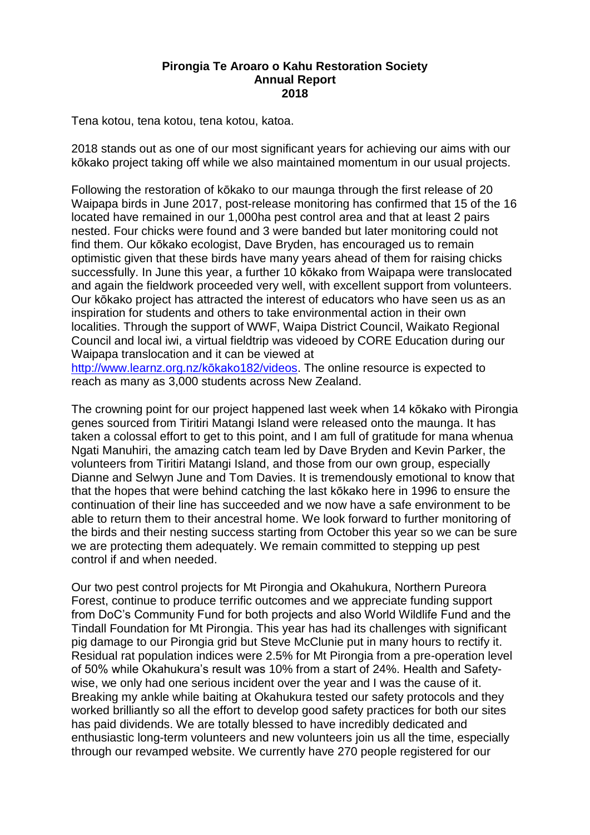## **Pirongia Te Aroaro o Kahu Restoration Society Annual Report 2018**

Tena kotou, tena kotou, tena kotou, katoa.

2018 stands out as one of our most significant years for achieving our aims with our kōkako project taking off while we also maintained momentum in our usual projects.

Following the restoration of kōkako to our maunga through the first release of 20 Waipapa birds in June 2017, post-release monitoring has confirmed that 15 of the 16 located have remained in our 1,000ha pest control area and that at least 2 pairs nested. Four chicks were found and 3 were banded but later monitoring could not find them. Our kōkako ecologist, Dave Bryden, has encouraged us to remain optimistic given that these birds have many years ahead of them for raising chicks successfully. In June this year, a further 10 kōkako from Waipapa were translocated and again the fieldwork proceeded very well, with excellent support from volunteers. Our kōkako project has attracted the interest of educators who have seen us as an inspiration for students and others to take environmental action in their own localities. Through the support of WWF, Waipa District Council, Waikato Regional Council and local iwi, a virtual fieldtrip was videoed by CORE Education during our Waipapa translocation and it can be viewed at

[http://www.learnz.org.nz/kōkako182/videos.](http://www.learnz.org.nz/kokako182/videos) The online resource is expected to reach as many as 3,000 students across New Zealand.

The crowning point for our project happened last week when 14 kōkako with Pirongia genes sourced from Tiritiri Matangi Island were released onto the maunga. It has taken a colossal effort to get to this point, and I am full of gratitude for mana whenua Ngati Manuhiri, the amazing catch team led by Dave Bryden and Kevin Parker, the volunteers from Tiritiri Matangi Island, and those from our own group, especially Dianne and Selwyn June and Tom Davies. It is tremendously emotional to know that that the hopes that were behind catching the last kōkako here in 1996 to ensure the continuation of their line has succeeded and we now have a safe environment to be able to return them to their ancestral home. We look forward to further monitoring of the birds and their nesting success starting from October this year so we can be sure we are protecting them adequately. We remain committed to stepping up pest control if and when needed.

Our two pest control projects for Mt Pirongia and Okahukura, Northern Pureora Forest, continue to produce terrific outcomes and we appreciate funding support from DoC's Community Fund for both projects and also World Wildlife Fund and the Tindall Foundation for Mt Pirongia. This year has had its challenges with significant pig damage to our Pirongia grid but Steve McClunie put in many hours to rectify it. Residual rat population indices were 2.5% for Mt Pirongia from a pre-operation level of 50% while Okahukura's result was 10% from a start of 24%. Health and Safetywise, we only had one serious incident over the year and I was the cause of it. Breaking my ankle while baiting at Okahukura tested our safety protocols and they worked brilliantly so all the effort to develop good safety practices for both our sites has paid dividends. We are totally blessed to have incredibly dedicated and enthusiastic long-term volunteers and new volunteers join us all the time, especially through our revamped website. We currently have 270 people registered for our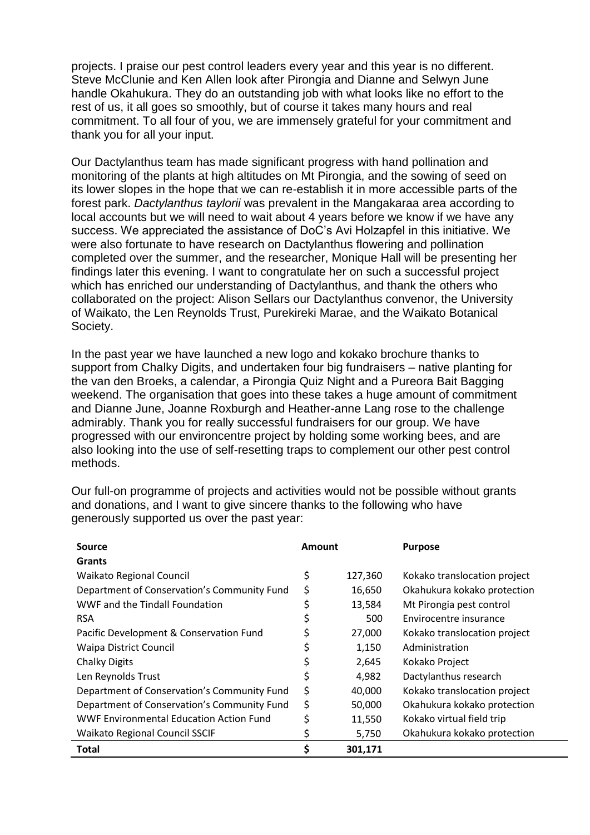projects. I praise our pest control leaders every year and this year is no different. Steve McClunie and Ken Allen look after Pirongia and Dianne and Selwyn June handle Okahukura. They do an outstanding job with what looks like no effort to the rest of us, it all goes so smoothly, but of course it takes many hours and real commitment. To all four of you, we are immensely grateful for your commitment and thank you for all your input.

Our Dactylanthus team has made significant progress with hand pollination and monitoring of the plants at high altitudes on Mt Pirongia, and the sowing of seed on its lower slopes in the hope that we can re-establish it in more accessible parts of the forest park. *Dactylanthus taylorii* was prevalent in the Mangakaraa area according to local accounts but we will need to wait about 4 years before we know if we have any success. We appreciated the assistance of DoC's Avi Holzapfel in this initiative. We were also fortunate to have research on Dactylanthus flowering and pollination completed over the summer, and the researcher, Monique Hall will be presenting her findings later this evening. I want to congratulate her on such a successful project which has enriched our understanding of Dactylanthus, and thank the others who collaborated on the project: Alison Sellars our Dactylanthus convenor, the University of Waikato, the Len Reynolds Trust, Purekireki Marae, and the Waikato Botanical Society.

In the past year we have launched a new logo and kokako brochure thanks to support from Chalky Digits, and undertaken four big fundraisers – native planting for the van den Broeks, a calendar, a Pirongia Quiz Night and a Pureora Bait Bagging weekend. The organisation that goes into these takes a huge amount of commitment and Dianne June, Joanne Roxburgh and Heather-anne Lang rose to the challenge admirably. Thank you for really successful fundraisers for our group. We have progressed with our environcentre project by holding some working bees, and are also looking into the use of self-resetting traps to complement our other pest control methods.

Our full-on programme of projects and activities would not be possible without grants and donations, and I want to give sincere thanks to the following who have generously supported us over the past year:

| Source                                         | Amount |         | <b>Purpose</b>               |
|------------------------------------------------|--------|---------|------------------------------|
| Grants                                         |        |         |                              |
| <b>Waikato Regional Council</b>                | \$     | 127,360 | Kokako translocation project |
| Department of Conservation's Community Fund    | Ś      | 16,650  | Okahukura kokako protection  |
| WWF and the Tindall Foundation                 |        | 13,584  | Mt Pirongia pest control     |
| <b>RSA</b>                                     |        | 500     | Envirocentre insurance       |
| Pacific Development & Conservation Fund        |        | 27,000  | Kokako translocation project |
| <b>Waipa District Council</b>                  |        | 1,150   | Administration               |
| <b>Chalky Digits</b>                           |        | 2,645   | Kokako Project               |
| Len Reynolds Trust                             |        | 4,982   | Dactylanthus research        |
| Department of Conservation's Community Fund    | Ś      | 40,000  | Kokako translocation project |
| Department of Conservation's Community Fund    | \$     | 50,000  | Okahukura kokako protection  |
| <b>WWF Environmental Education Action Fund</b> |        | 11,550  | Kokako virtual field trip    |
| <b>Waikato Regional Council SSCIF</b>          |        | 5,750   | Okahukura kokako protection  |
| <b>Total</b>                                   |        | 301,171 |                              |